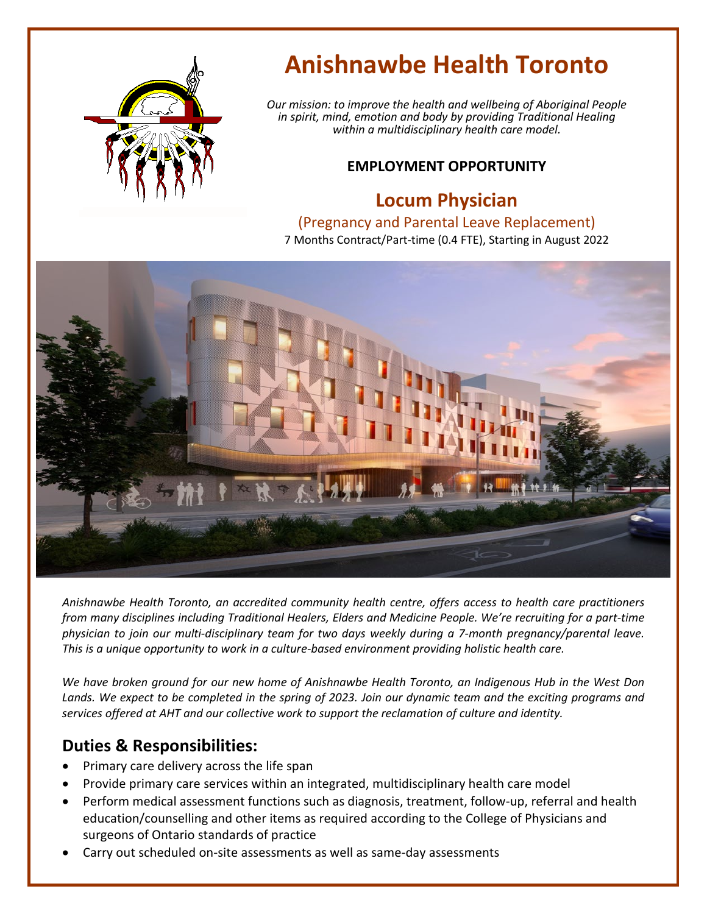

# **Anishnawbe Health Toronto**

*Our mission: to improve the health and wellbeing of Aboriginal People in spirit, mind, emotion and body by providing Traditional Healing within a multidisciplinary health care model.*

### **EMPLOYMENT OPPORTUNITY**

## **Locum Physician**

#### (Pregnancy and Parental Leave Replacement)

7 Months Contract/Part-time (0.4 FTE), Starting in August 2022



*Anishnawbe Health Toronto, an accredited community health centre, offers access to health care practitioners from many disciplines including Traditional Healers, Elders and Medicine People. We're recruiting for a part-time physician to join our multi-disciplinary team for two days weekly during a 7-month pregnancy/parental leave. This is a unique opportunity to work in a culture-based environment providing holistic health care.*

*We have broken ground for our new home of Anishnawbe Health Toronto, an Indigenous Hub in the West Don Lands. We expect to be completed in the spring of 2023. Join our dynamic team and the exciting programs and services offered at AHT and our collective work to support the reclamation of culture and identity.*

## **Duties & Responsibilities:**

- Primary care delivery across the life span
- Provide primary care services within an integrated, multidisciplinary health care model
- Perform medical assessment functions such as diagnosis, treatment, follow-up, referral and health education/counselling and other items as required according to the College of Physicians and surgeons of Ontario standards of practice
- Carry out scheduled on-site assessments as well as same-day assessments